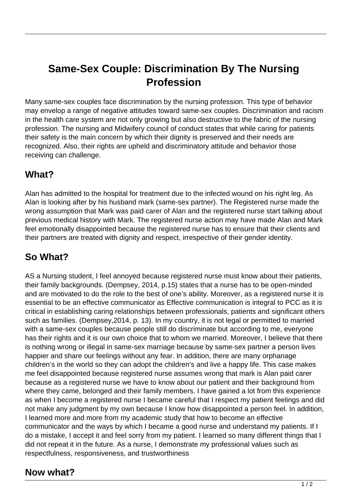# **Same-Sex Couple: Discrimination By The Nursing Profession**

Many same-sex couples face discrimination by the nursing profession. This type of behavior may envelop a range of negative attitudes toward same-sex couples. Discrimination and racism in the health care system are not only growing but also destructive to the fabric of the nursing profession. The nursing and Midwifery council of conduct states that while caring for patients their safety is the main concern by which their dignity is preserved and their needs are recognized. Also, their rights are upheld and discriminatory attitude and behavior those receiving can challenge.

## **What?**

Alan has admitted to the hospital for treatment due to the infected wound on his right leg. As Alan is looking after by his husband mark (same-sex partner). The Registered nurse made the wrong assumption that Mark was paid carer of Alan and the registered nurse start talking about previous medical history with Mark. The registered nurse action may have made Alan and Mark feel emotionally disappointed because the registered nurse has to ensure that their clients and their partners are treated with dignity and respect, irrespective of their gender identity.

# **So What?**

AS a Nursing student, I feel annoyed because registered nurse must know about their patients, their family backgrounds. (Dempsey, 2014, p.15) states that a nurse has to be open-minded and are motivated to do the role to the best of one's ability. Moreover, as a registered nurse it is essential to be an effective communicator as Effective communication is integral to PCC as it is critical in establishing caring relationships between professionals, patients and significant others such as families. (Dempsey,2014, p. 13). In my country, it is not legal or permitted to married with a same-sex couples because people still do discriminate but according to me, everyone has their rights and it is our own choice that to whom we married. Moreover, I believe that there is nothing wrong or illegal in same-sex marriage because by same-sex partner a person lives happier and share our feelings without any fear. In addition, there are many orphanage children's in the world so they can adopt the children's and live a happy life. This case makes me feel disappointed because registered nurse assumes wrong that mark is Alan paid carer because as a registered nurse we have to know about our patient and their background from where they came, belonged and their family members. I have gained a lot from this experience as when I become a registered nurse I became careful that I respect my patient feelings and did not make any judgment by my own because I know how disappointed a person feel. In addition, I learned more and more from my academic study that how to become an effective communicator and the ways by which I became a good nurse and understand my patients. If I do a mistake, I accept it and feel sorry from my patient. I learned so many different things that I did not repeat it in the future. As a nurse, I demonstrate my professional values such as respectfulness, responsiveness, and trustworthiness

### **Now what?**